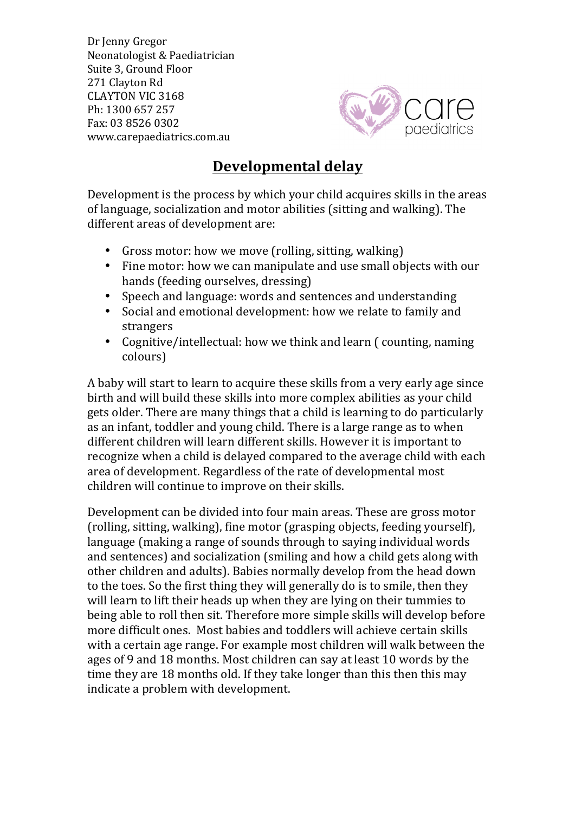Dr Jenny Gregor Neonatologist & Paediatrician Suite 3, Ground Floor 271 Clayton Rd CLAYTON VIC 3168 Ph: 1300 657 257 Fax: 03 8526 0302 www.carepaediatrics.com.au



## **Developmental delay**

Development is the process by which your child acquires skills in the areas of language, socialization and motor abilities (sitting and walking). The different areas of development are:

- Gross motor: how we move (rolling, sitting, walking)
- Fine motor: how we can manipulate and use small objects with our hands (feeding ourselves, dressing)
- Speech and language: words and sentences and understanding
- Social and emotional development: how we relate to family and strangers
- Cognitive/intellectual: how we think and learn ( counting, naming colours)

A baby will start to learn to acquire these skills from a very early age since birth and will build these skills into more complex abilities as your child gets older. There are many things that a child is learning to do particularly as an infant, toddler and young child. There is a large range as to when different children will learn different skills. However it is important to recognize when a child is delayed compared to the average child with each area of development. Regardless of the rate of developmental most children will continue to improve on their skills.

Development can be divided into four main areas. These are gross motor (rolling, sitting, walking), fine motor (grasping objects, feeding yourself), language (making a range of sounds through to saying individual words and sentences) and socialization (smiling and how a child gets along with other children and adults). Babies normally develop from the head down to the toes. So the first thing they will generally do is to smile, then they will learn to lift their heads up when they are lying on their tummies to being able to roll then sit. Therefore more simple skills will develop before more difficult ones. Most babies and toddlers will achieve certain skills with a certain age range. For example most children will walk between the ages of 9 and 18 months. Most children can say at least 10 words by the time they are 18 months old. If they take longer than this then this may indicate a problem with development.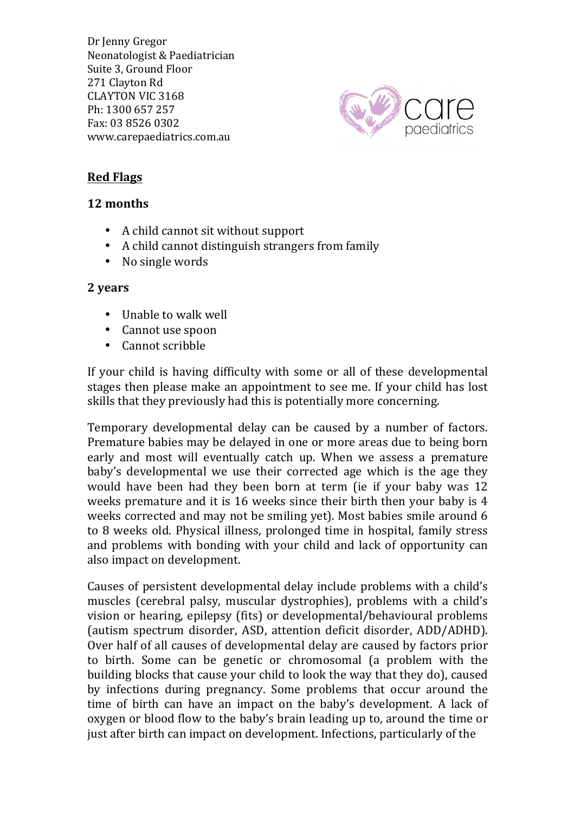Dr Jenny Gregor Neonatologist & Paediatrician Suite 3, Ground Floor 271 Clayton Rd CLAYTON VIC 3168 Ph: 1300 657 257 Fax: 03 8526 0302 www.carepaediatrics.com.au



## **Red Flags**

## **12 months**

- A child cannot sit without support
- A child cannot distinguish strangers from family
- No single words

## **2 years**

- Unable to walk well
- Cannot use spoon
- Cannot scribble

If your child is having difficulty with some or all of these developmental stages then please make an appointment to see me. If your child has lost skills that they previously had this is potentially more concerning.

Temporary developmental delay can be caused by a number of factors. Premature babies may be delayed in one or more areas due to being born early and most will eventually catch up. When we assess a premature baby's developmental we use their corrected age which is the age they would have been had they been born at term (ie if your baby was 12 weeks premature and it is 16 weeks since their birth then your baby is 4 weeks corrected and may not be smiling yet). Most babies smile around 6 to 8 weeks old. Physical illness, prolonged time in hospital, family stress and problems with bonding with your child and lack of opportunity can also impact on development.

Causes of persistent developmental delay include problems with a child's muscles (cerebral palsy, muscular dystrophies), problems with a child's vision or hearing, epilepsy (fits) or developmental/behavioural problems (autism spectrum disorder, ASD, attention deficit disorder, ADD/ADHD). Over half of all causes of developmental delay are caused by factors prior to birth. Some can be genetic or chromosomal (a problem with the building blocks that cause your child to look the way that they do), caused by infections during pregnancy. Some problems that occur around the time of birth can have an impact on the baby's development. A lack of oxygen or blood flow to the baby's brain leading up to, around the time or just after birth can impact on development. Infections, particularly of the